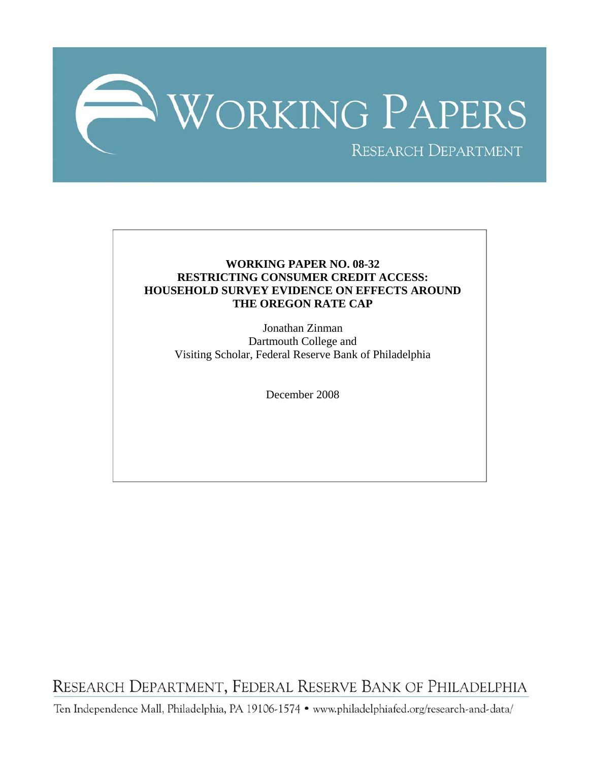

## **WORKING PAPER NO. 08-32 RESTRICTING CONSUMER CREDIT ACCESS: HOUSEHOLD SURVEY EVIDENCE ON EFFECTS AROUND THE OREGON RATE CAP**

Jonathan Zinman Dartmouth College and Visiting Scholar, Federal Reserve Bank of Philadelphia

December 2008

RESEARCH DEPARTMENT, FEDERAL RESERVE BANK OF PHILADELPHIA

Ten Independence Mall, Philadelphia, PA 19106-1574 · www.philadelphiafed.org/research-and-data/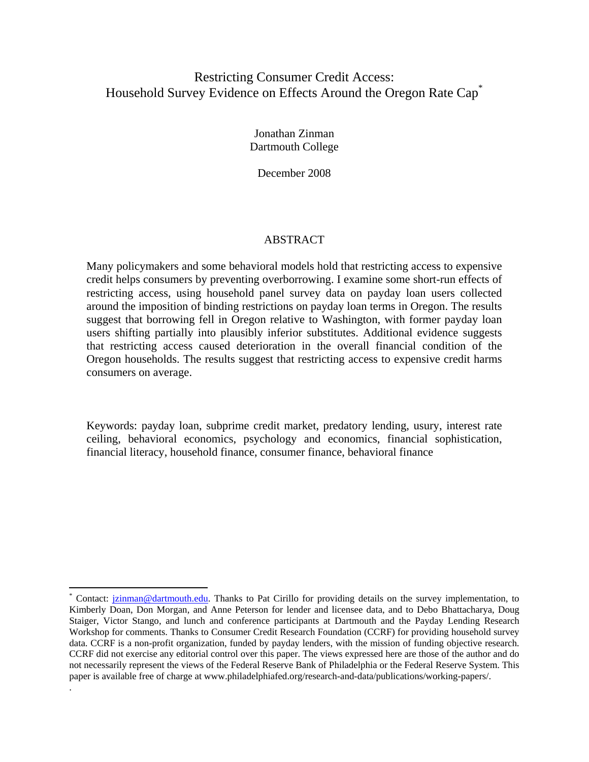# Restricting Consumer Credit Access: Household Survey Evidence on Effects Around the Oregon Rate Cap<sup>\*</sup>

Jonathan Zinman Dartmouth College

December 2008

### ABSTRACT

Many policymakers and some behavioral models hold that restricting access to expensive credit helps consumers by preventing overborrowing. I examine some short-run effects of restricting access, using household panel survey data on payday loan users collected around the imposition of binding restrictions on payday loan terms in Oregon. The results suggest that borrowing fell in Oregon relative to Washington, with former payday loan users shifting partially into plausibly inferior substitutes. Additional evidence suggests that restricting access caused deterioration in the overall financial condition of the Oregon households. The results suggest that restricting access to expensive credit harms consumers on average.

Keywords: payday loan, subprime credit market, predatory lending, usury, interest rate ceiling, behavioral economics, psychology and economics, financial sophistication, financial literacy, household finance, consumer finance, behavioral finance

<sup>\*</sup> Contact: jzinman@dartmouth.edu. Thanks to Pat Cirillo for providing details on the survey implementation, to Kimberly Doan, Don Morgan, and Anne Peterson for lender and licensee data, and to Debo Bhattacharya, Doug Staiger, Victor Stango, and lunch and conference participants at Dartmouth and the Payday Lending Research Workshop for comments. Thanks to Consumer Credit Research Foundation (CCRF) for providing household survey data. CCRF is a non-profit organization, funded by payday lenders, with the mission of funding objective research. CCRF did not exercise any editorial control over this paper. The views expressed here are those of the author and do not necessarily represent the views of the Federal Reserve Bank of Philadelphia or the Federal Reserve System. This paper is available free of charge at www.philadelphiafed.org/research-and-data/publications/working-papers/. .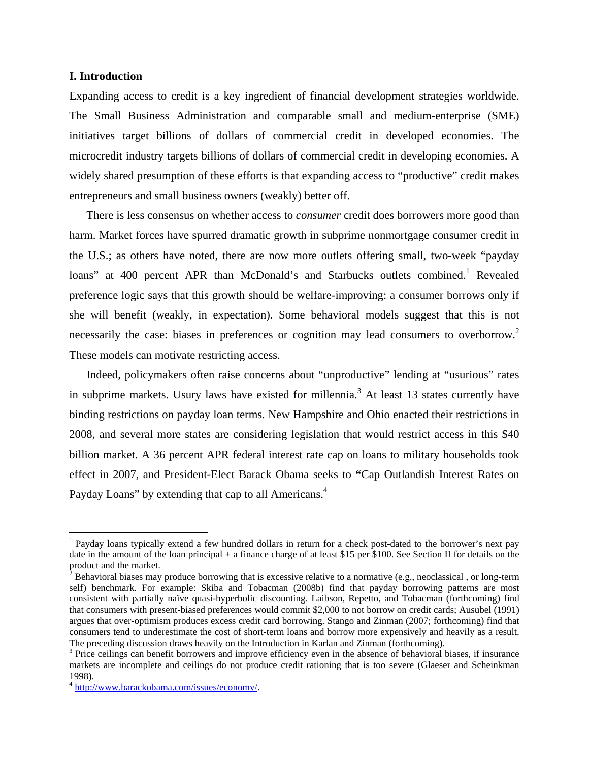#### **I. Introduction**

Expanding access to credit is a key ingredient of financial development strategies worldwide. The Small Business Administration and comparable small and medium-enterprise (SME) initiatives target billions of dollars of commercial credit in developed economies. The microcredit industry targets billions of dollars of commercial credit in developing economies. A widely shared presumption of these efforts is that expanding access to "productive" credit makes entrepreneurs and small business owners (weakly) better off.

There is less consensus on whether access to *consumer* credit does borrowers more good than harm. Market forces have spurred dramatic growth in subprime nonmortgage consumer credit in the U.S.; as others have noted, there are now more outlets offering small, two-week "payday loans" at 400 percent APR than McDonald's and Starbucks outlets combined.<sup>1</sup> Revealed preference logic says that this growth should be welfare-improving: a consumer borrows only if she will benefit (weakly, in expectation). Some behavioral models suggest that this is not necessarily the case: biases in preferences or cognition may lead consumers to overborrow.<sup>2</sup> These models can motivate restricting access.

Indeed, policymakers often raise concerns about "unproductive" lending at "usurious" rates in subprime markets. Usury laws have existed for millennia.<sup>3</sup> At least 13 states currently have binding restrictions on payday loan terms. New Hampshire and Ohio enacted their restrictions in 2008, and several more states are considering legislation that would restrict access in this \$40 billion market. A 36 percent APR federal interest rate cap on loans to military households took effect in 2007, and President-Elect Barack Obama seeks to **"**Cap Outlandish Interest Rates on Payday Loans" by extending that cap to all Americans.<sup>4</sup>

<sup>&</sup>lt;sup>1</sup> Payday loans typically extend a few hundred dollars in return for a check post-dated to the borrower's next pay date in the amount of the loan principal + a finance charge of at least \$15 per \$100. See Section II for details on the product and the market.<br><sup>2</sup> Behavioral biases may produce borrowing that is excessive relative to a normative (e.g., neoclassical , or long-term

self) benchmark. For example: Skiba and Tobacman (2008b) find that payday borrowing patterns are most consistent with partially naïve quasi-hyperbolic discounting. Laibson, Repetto, and Tobacman (forthcoming) find that consumers with present-biased preferences would commit \$2,000 to not borrow on credit cards; Ausubel (1991) argues that over-optimism produces excess credit card borrowing. Stango and Zinman (2007; forthcoming) find that consumers tend to underestimate the cost of short-term loans and borrow more expensively and heavily as a result. The preceding discussion draws heavily on the Introduction in Karlan and Zinman (forthcoming).

<sup>&</sup>lt;sup>3</sup> Price ceilings can benefit borrowers and improve efficiency even in the absence of behavioral biases, if insurance markets are incomplete and ceilings do not produce credit rationing that is too severe (Glaeser and Scheinkman 1998).

<sup>4</sup> http://www.barackobama.com/issues/economy/.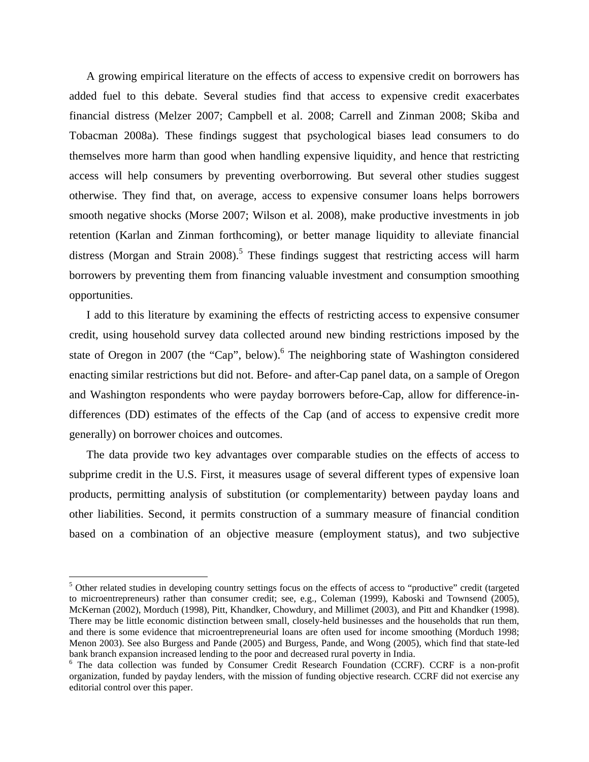A growing empirical literature on the effects of access to expensive credit on borrowers has added fuel to this debate. Several studies find that access to expensive credit exacerbates financial distress (Melzer 2007; Campbell et al. 2008; Carrell and Zinman 2008; Skiba and Tobacman 2008a). These findings suggest that psychological biases lead consumers to do themselves more harm than good when handling expensive liquidity, and hence that restricting access will help consumers by preventing overborrowing. But several other studies suggest otherwise. They find that, on average, access to expensive consumer loans helps borrowers smooth negative shocks (Morse 2007; Wilson et al. 2008), make productive investments in job retention (Karlan and Zinman forthcoming), or better manage liquidity to alleviate financial distress (Morgan and Strain 2008).<sup>5</sup> These findings suggest that restricting access will harm borrowers by preventing them from financing valuable investment and consumption smoothing opportunities.

I add to this literature by examining the effects of restricting access to expensive consumer credit, using household survey data collected around new binding restrictions imposed by the state of Oregon in 2007 (the "Cap", below). <sup>6</sup> The neighboring state of Washington considered enacting similar restrictions but did not. Before- and after-Cap panel data, on a sample of Oregon and Washington respondents who were payday borrowers before-Cap, allow for difference-indifferences (DD) estimates of the effects of the Cap (and of access to expensive credit more generally) on borrower choices and outcomes.

The data provide two key advantages over comparable studies on the effects of access to subprime credit in the U.S. First, it measures usage of several different types of expensive loan products, permitting analysis of substitution (or complementarity) between payday loans and other liabilities. Second, it permits construction of a summary measure of financial condition based on a combination of an objective measure (employment status), and two subjective

<sup>&</sup>lt;sup>5</sup> Other related studies in developing country settings focus on the effects of access to "productive" credit (targeted to microentrepreneurs) rather than consumer credit; see, e.g., Coleman (1999), Kaboski and Townsend (2005), McKernan (2002), Morduch (1998), Pitt, Khandker, Chowdury, and Millimet (2003), and Pitt and Khandker (1998). There may be little economic distinction between small, closely-held businesses and the households that run them, and there is some evidence that microentrepreneurial loans are often used for income smoothing (Morduch 1998; Menon 2003). See also Burgess and Pande (2005) and Burgess, Pande, and Wong (2005), which find that state-led bank branch expansion increased lending to the poor and decreased rural poverty in India.

<sup>&</sup>lt;sup>6</sup> The data collection was funded by Consumer Credit Research Foundation (CCRF). CCRF is a non-profit organization, funded by payday lenders, with the mission of funding objective research. CCRF did not exercise any editorial control over this paper.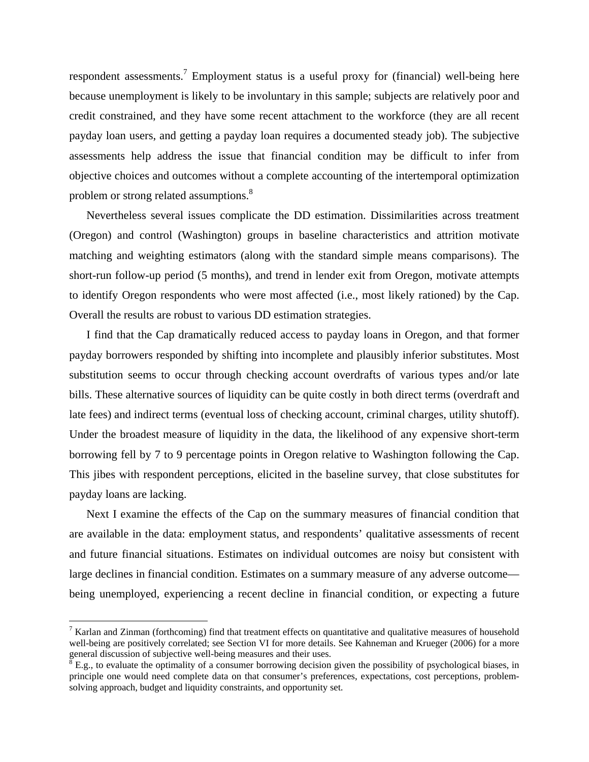respondent assessments.<sup>7</sup> Employment status is a useful proxy for (financial) well-being here because unemployment is likely to be involuntary in this sample; subjects are relatively poor and credit constrained, and they have some recent attachment to the workforce (they are all recent payday loan users, and getting a payday loan requires a documented steady job). The subjective assessments help address the issue that financial condition may be difficult to infer from objective choices and outcomes without a complete accounting of the intertemporal optimization problem or strong related assumptions.<sup>8</sup>

Nevertheless several issues complicate the DD estimation. Dissimilarities across treatment (Oregon) and control (Washington) groups in baseline characteristics and attrition motivate matching and weighting estimators (along with the standard simple means comparisons). The short-run follow-up period (5 months), and trend in lender exit from Oregon, motivate attempts to identify Oregon respondents who were most affected (i.e., most likely rationed) by the Cap. Overall the results are robust to various DD estimation strategies.

I find that the Cap dramatically reduced access to payday loans in Oregon, and that former payday borrowers responded by shifting into incomplete and plausibly inferior substitutes. Most substitution seems to occur through checking account overdrafts of various types and/or late bills. These alternative sources of liquidity can be quite costly in both direct terms (overdraft and late fees) and indirect terms (eventual loss of checking account, criminal charges, utility shutoff). Under the broadest measure of liquidity in the data, the likelihood of any expensive short-term borrowing fell by 7 to 9 percentage points in Oregon relative to Washington following the Cap. This jibes with respondent perceptions, elicited in the baseline survey, that close substitutes for payday loans are lacking.

Next I examine the effects of the Cap on the summary measures of financial condition that are available in the data: employment status, and respondents' qualitative assessments of recent and future financial situations. Estimates on individual outcomes are noisy but consistent with large declines in financial condition. Estimates on a summary measure of any adverse outcome being unemployed, experiencing a recent decline in financial condition, or expecting a future

<sup>&</sup>lt;sup>7</sup> Karlan and Zinman (forthcoming) find that treatment effects on quantitative and qualitative measures of household well-being are positively correlated; see Section VI for more details. See Kahneman and Krueger (2006) for a more general discussion of subjective well-being measures and their uses.<br><sup>8</sup> E.g., to evaluate the optimality of a consumer borrowing decision given the possibility of psychological biases, in

principle one would need complete data on that consumer's preferences, expectations, cost perceptions, problemsolving approach, budget and liquidity constraints, and opportunity set.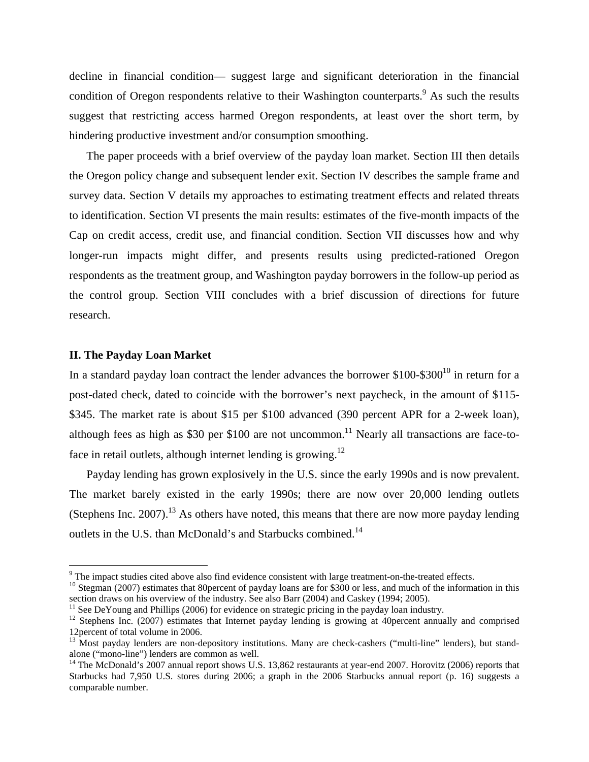decline in financial condition— suggest large and significant deterioration in the financial condition of Oregon respondents relative to their Washington counterparts.<sup>9</sup> As such the results suggest that restricting access harmed Oregon respondents, at least over the short term, by hindering productive investment and/or consumption smoothing.

The paper proceeds with a brief overview of the payday loan market. Section III then details the Oregon policy change and subsequent lender exit. Section IV describes the sample frame and survey data. Section V details my approaches to estimating treatment effects and related threats to identification. Section VI presents the main results: estimates of the five-month impacts of the Cap on credit access, credit use, and financial condition. Section VII discusses how and why longer-run impacts might differ, and presents results using predicted-rationed Oregon respondents as the treatment group, and Washington payday borrowers in the follow-up period as the control group. Section VIII concludes with a brief discussion of directions for future research.

#### **II. The Payday Loan Market**

 $\overline{a}$ 

In a standard payday loan contract the lender advances the borrower  $$100-$300<sup>10</sup>$  in return for a post-dated check, dated to coincide with the borrower's next paycheck, in the amount of \$115- \$345. The market rate is about \$15 per \$100 advanced (390 percent APR for a 2-week loan), although fees as high as \$30 per \$100 are not uncommon.<sup>11</sup> Nearly all transactions are face-toface in retail outlets, although internet lending is growing.<sup>12</sup>

Payday lending has grown explosively in the U.S. since the early 1990s and is now prevalent. The market barely existed in the early 1990s; there are now over 20,000 lending outlets (Stephens Inc. 2007).<sup>13</sup> As others have noted, this means that there are now more payday lending outlets in the U.S. than McDonald's and Starbucks combined.<sup>14</sup>

<sup>&</sup>lt;sup>9</sup> The impact studies cited above also find evidence consistent with large treatment-on-the-treated effects.

 $10$  Stegman (2007) estimates that 80 percent of payday loans are for \$300 or less, and much of the information in this section draws on his overview of the industry. See also Barr (2004) and Caskey (1994; 2005).

 $11$  See DeYoung and Phillips (2006) for evidence on strategic pricing in the payday loan industry.

<sup>&</sup>lt;sup>12</sup> Stephens Inc. (2007) estimates that Internet payday lending is growing at 40percent annually and comprised 12percent of total volume in 2006.

 $13$  Most payday lenders are non-depository institutions. Many are check-cashers ("multi-line" lenders), but standalone ("mono-line") lenders are common as well.

<sup>&</sup>lt;sup>14</sup> The McDonald's 2007 annual report shows U.S. 13,862 restaurants at year-end 2007. Horovitz (2006) reports that Starbucks had 7,950 U.S. stores during 2006; a graph in the 2006 Starbucks annual report (p. 16) suggests a comparable number.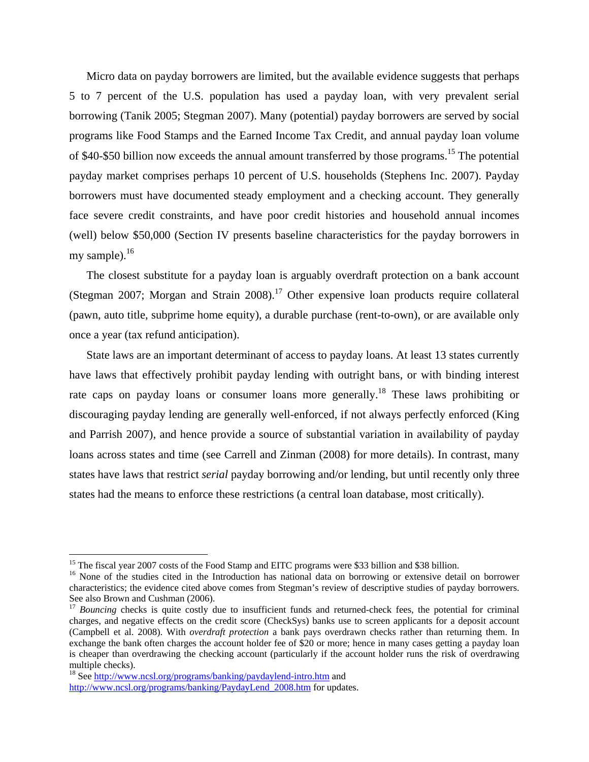Micro data on payday borrowers are limited, but the available evidence suggests that perhaps 5 to 7 percent of the U.S. population has used a payday loan, with very prevalent serial borrowing (Tanik 2005; Stegman 2007). Many (potential) payday borrowers are served by social programs like Food Stamps and the Earned Income Tax Credit, and annual payday loan volume of \$40-\$50 billion now exceeds the annual amount transferred by those programs.<sup>15</sup> The potential payday market comprises perhaps 10 percent of U.S. households (Stephens Inc. 2007). Payday borrowers must have documented steady employment and a checking account. They generally face severe credit constraints, and have poor credit histories and household annual incomes (well) below \$50,000 (Section IV presents baseline characteristics for the payday borrowers in my sample). $^{16}$ 

The closest substitute for a payday loan is arguably overdraft protection on a bank account (Stegman 2007; Morgan and Strain 2008).<sup>17</sup> Other expensive loan products require collateral (pawn, auto title, subprime home equity), a durable purchase (rent-to-own), or are available only once a year (tax refund anticipation).

State laws are an important determinant of access to payday loans. At least 13 states currently have laws that effectively prohibit payday lending with outright bans, or with binding interest rate caps on payday loans or consumer loans more generally.<sup>18</sup> These laws prohibiting or discouraging payday lending are generally well-enforced, if not always perfectly enforced (King and Parrish 2007), and hence provide a source of substantial variation in availability of payday loans across states and time (see Carrell and Zinman (2008) for more details). In contrast, many states have laws that restrict *serial* payday borrowing and/or lending, but until recently only three states had the means to enforce these restrictions (a central loan database, most critically).

<sup>&</sup>lt;sup>15</sup> The fiscal year 2007 costs of the Food Stamp and EITC programs were \$33 billion and \$38 billion.

<sup>&</sup>lt;sup>16</sup> None of the studies cited in the Introduction has national data on borrowing or extensive detail on borrower characteristics; the evidence cited above comes from Stegman's review of descriptive studies of payday borrowers. See also Brown and Cushman (2006).

<sup>&</sup>lt;sup>17</sup> *Bouncing* checks is quite costly due to insufficient funds and returned-check fees, the potential for criminal charges, and negative effects on the credit score (CheckSys) banks use to screen applicants for a deposit account (Campbell et al. 2008). With *overdraft protection* a bank pays overdrawn checks rather than returning them. In exchange the bank often charges the account holder fee of \$20 or more; hence in many cases getting a payday loan is cheaper than overdrawing the checking account (particularly if the account holder runs the risk of overdrawing multiple checks).

<sup>&</sup>lt;sup>18</sup> See http://www.ncsl.org/programs/banking/paydaylend-intro.htm and http://www.ncsl.org/programs/banking/PaydayLend\_2008.htm for updates.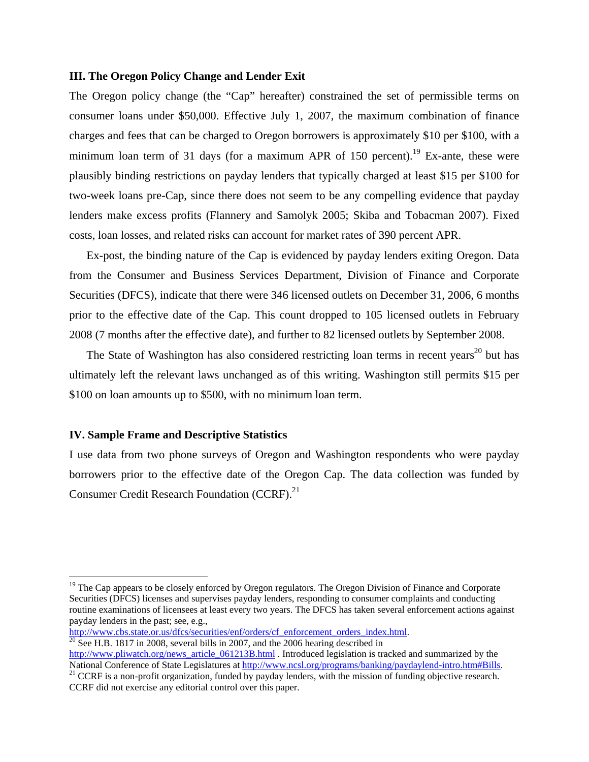#### **III. The Oregon Policy Change and Lender Exit**

The Oregon policy change (the "Cap" hereafter) constrained the set of permissible terms on consumer loans under \$50,000. Effective July 1, 2007, the maximum combination of finance charges and fees that can be charged to Oregon borrowers is approximately \$10 per \$100, with a minimum loan term of 31 days (for a maximum APR of 150 percent).<sup>19</sup> Ex-ante, these were plausibly binding restrictions on payday lenders that typically charged at least \$15 per \$100 for two-week loans pre-Cap, since there does not seem to be any compelling evidence that payday lenders make excess profits (Flannery and Samolyk 2005; Skiba and Tobacman 2007). Fixed costs, loan losses, and related risks can account for market rates of 390 percent APR.

Ex-post, the binding nature of the Cap is evidenced by payday lenders exiting Oregon. Data from the Consumer and Business Services Department, Division of Finance and Corporate Securities (DFCS), indicate that there were 346 licensed outlets on December 31, 2006, 6 months prior to the effective date of the Cap. This count dropped to 105 licensed outlets in February 2008 (7 months after the effective date), and further to 82 licensed outlets by September 2008.

The State of Washington has also considered restricting loan terms in recent years<sup>20</sup> but has ultimately left the relevant laws unchanged as of this writing. Washington still permits \$15 per \$100 on loan amounts up to \$500, with no minimum loan term.

#### **IV. Sample Frame and Descriptive Statistics**

 $\overline{a}$ 

I use data from two phone surveys of Oregon and Washington respondents who were payday borrowers prior to the effective date of the Oregon Cap. The data collection was funded by Consumer Credit Research Foundation (CCRF).<sup>21</sup>

<sup>&</sup>lt;sup>19</sup> The Cap appears to be closely enforced by Oregon regulators. The Oregon Division of Finance and Corporate Securities (DFCS) licenses and supervises payday lenders, responding to consumer complaints and conducting routine examinations of licensees at least every two years. The DFCS has taken several enforcement actions against payday lenders in the past; see, e.g.,<br>http://www.cbs.state.or.us/dfcs/securities/enf/orders/cf enforcement orders index.html.

 $\frac{1}{20}$  See H.B. 1817 in 2008, several bills in 2007, and the 2006 hearing described in http://www.pliwatch.org/news\_article\_061213B.html . Introduced legislation is tracked and summarized by the National Conference of State Legislatures at http://www.ncsl.org/programs/banking/paydaylend-intro.htm#Bills.

<sup>&</sup>lt;sup>21</sup> CCRF is a non-profit organization, funded by payday lenders, with the mission of funding objective research. CCRF did not exercise any editorial control over this paper.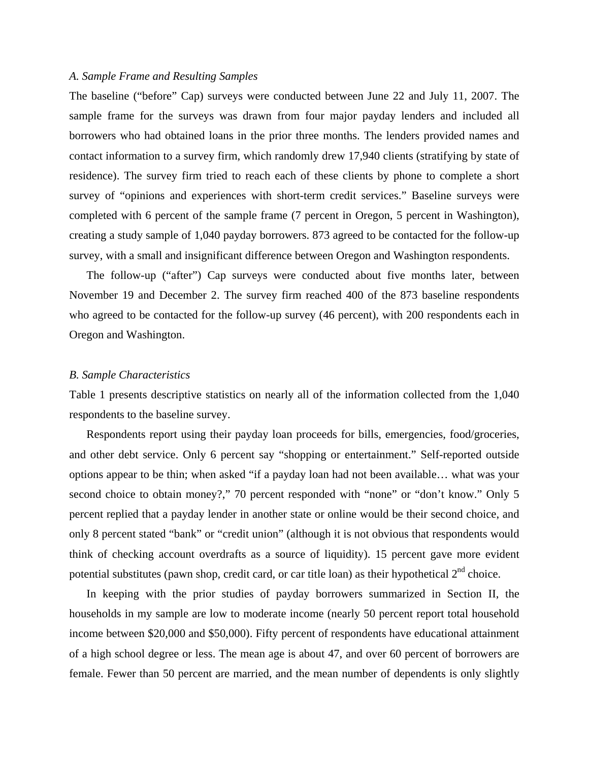#### *A. Sample Frame and Resulting Samples*

The baseline ("before" Cap) surveys were conducted between June 22 and July 11, 2007. The sample frame for the surveys was drawn from four major payday lenders and included all borrowers who had obtained loans in the prior three months. The lenders provided names and contact information to a survey firm, which randomly drew 17,940 clients (stratifying by state of residence). The survey firm tried to reach each of these clients by phone to complete a short survey of "opinions and experiences with short-term credit services." Baseline surveys were completed with 6 percent of the sample frame (7 percent in Oregon, 5 percent in Washington), creating a study sample of 1,040 payday borrowers. 873 agreed to be contacted for the follow-up survey, with a small and insignificant difference between Oregon and Washington respondents.

The follow-up ("after") Cap surveys were conducted about five months later, between November 19 and December 2. The survey firm reached 400 of the 873 baseline respondents who agreed to be contacted for the follow-up survey (46 percent), with 200 respondents each in Oregon and Washington.

#### *B. Sample Characteristics*

Table 1 presents descriptive statistics on nearly all of the information collected from the 1,040 respondents to the baseline survey.

Respondents report using their payday loan proceeds for bills, emergencies, food/groceries, and other debt service. Only 6 percent say "shopping or entertainment." Self-reported outside options appear to be thin; when asked "if a payday loan had not been available… what was your second choice to obtain money?," 70 percent responded with "none" or "don't know." Only 5 percent replied that a payday lender in another state or online would be their second choice, and only 8 percent stated "bank" or "credit union" (although it is not obvious that respondents would think of checking account overdrafts as a source of liquidity). 15 percent gave more evident potential substitutes (pawn shop, credit card, or car title loan) as their hypothetical  $2<sup>nd</sup>$  choice.

In keeping with the prior studies of payday borrowers summarized in Section II, the households in my sample are low to moderate income (nearly 50 percent report total household income between \$20,000 and \$50,000). Fifty percent of respondents have educational attainment of a high school degree or less. The mean age is about 47, and over 60 percent of borrowers are female. Fewer than 50 percent are married, and the mean number of dependents is only slightly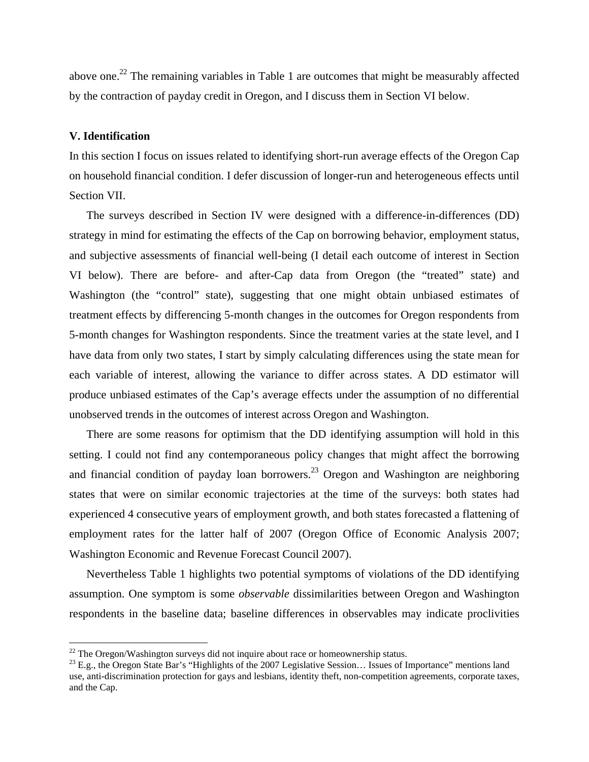above one.<sup>22</sup> The remaining variables in Table 1 are outcomes that might be measurably affected by the contraction of payday credit in Oregon, and I discuss them in Section VI below.

#### **V. Identification**

 $\overline{a}$ 

In this section I focus on issues related to identifying short-run average effects of the Oregon Cap on household financial condition. I defer discussion of longer-run and heterogeneous effects until Section VII.

The surveys described in Section IV were designed with a difference-in-differences (DD) strategy in mind for estimating the effects of the Cap on borrowing behavior, employment status, and subjective assessments of financial well-being (I detail each outcome of interest in Section VI below). There are before- and after-Cap data from Oregon (the "treated" state) and Washington (the "control" state), suggesting that one might obtain unbiased estimates of treatment effects by differencing 5-month changes in the outcomes for Oregon respondents from 5-month changes for Washington respondents. Since the treatment varies at the state level, and I have data from only two states, I start by simply calculating differences using the state mean for each variable of interest, allowing the variance to differ across states. A DD estimator will produce unbiased estimates of the Cap's average effects under the assumption of no differential unobserved trends in the outcomes of interest across Oregon and Washington.

There are some reasons for optimism that the DD identifying assumption will hold in this setting. I could not find any contemporaneous policy changes that might affect the borrowing and financial condition of payday loan borrowers.<sup>23</sup> Oregon and Washington are neighboring states that were on similar economic trajectories at the time of the surveys: both states had experienced 4 consecutive years of employment growth, and both states forecasted a flattening of employment rates for the latter half of 2007 (Oregon Office of Economic Analysis 2007; Washington Economic and Revenue Forecast Council 2007).

Nevertheless Table 1 highlights two potential symptoms of violations of the DD identifying assumption. One symptom is some *observable* dissimilarities between Oregon and Washington respondents in the baseline data; baseline differences in observables may indicate proclivities

 $22$  The Oregon/Washington surveys did not inquire about race or homeownership status.

<sup>&</sup>lt;sup>23</sup> E.g., the Oregon State Bar's "Highlights of the 2007 Legislative Session... Issues of Importance" mentions land use, anti-discrimination protection for gays and lesbians, identity theft, non-competition agreements, corporate taxes, and the Cap.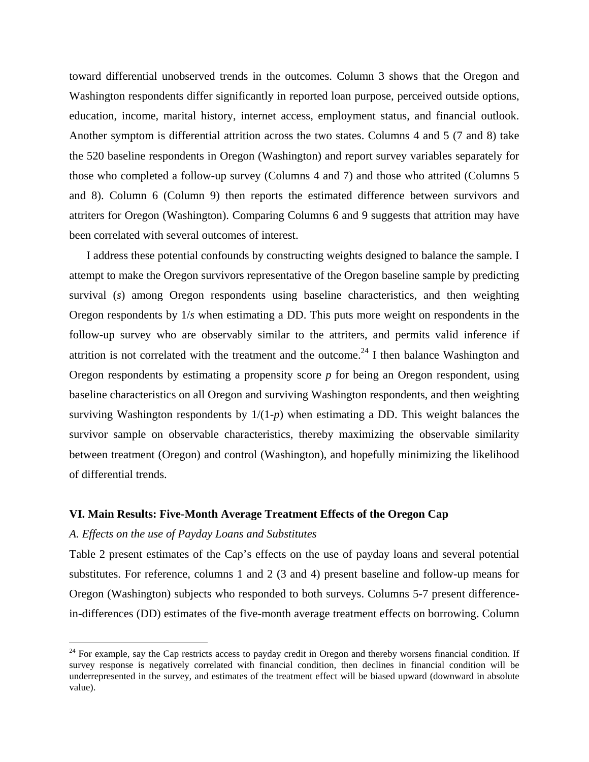toward differential unobserved trends in the outcomes. Column 3 shows that the Oregon and Washington respondents differ significantly in reported loan purpose, perceived outside options, education, income, marital history, internet access, employment status, and financial outlook. Another symptom is differential attrition across the two states. Columns 4 and 5 (7 and 8) take the 520 baseline respondents in Oregon (Washington) and report survey variables separately for those who completed a follow-up survey (Columns 4 and 7) and those who attrited (Columns 5 and 8). Column 6 (Column 9) then reports the estimated difference between survivors and attriters for Oregon (Washington). Comparing Columns 6 and 9 suggests that attrition may have been correlated with several outcomes of interest.

I address these potential confounds by constructing weights designed to balance the sample. I attempt to make the Oregon survivors representative of the Oregon baseline sample by predicting survival (*s*) among Oregon respondents using baseline characteristics, and then weighting Oregon respondents by 1/*s* when estimating a DD. This puts more weight on respondents in the follow-up survey who are observably similar to the attriters, and permits valid inference if attrition is not correlated with the treatment and the outcome.<sup>24</sup> I then balance Washington and Oregon respondents by estimating a propensity score *p* for being an Oregon respondent, using baseline characteristics on all Oregon and surviving Washington respondents, and then weighting surviving Washington respondents by  $1/(1-p)$  when estimating a DD. This weight balances the survivor sample on observable characteristics, thereby maximizing the observable similarity between treatment (Oregon) and control (Washington), and hopefully minimizing the likelihood of differential trends.

#### **VI. Main Results: Five-Month Average Treatment Effects of the Oregon Cap**

### *A. Effects on the use of Payday Loans and Substitutes*

 $\overline{a}$ 

Table 2 present estimates of the Cap's effects on the use of payday loans and several potential substitutes. For reference, columns 1 and 2 (3 and 4) present baseline and follow-up means for Oregon (Washington) subjects who responded to both surveys. Columns 5-7 present differencein-differences (DD) estimates of the five-month average treatment effects on borrowing. Column

 $24$  For example, say the Cap restricts access to payday credit in Oregon and thereby worsens financial condition. If survey response is negatively correlated with financial condition, then declines in financial condition will be underrepresented in the survey, and estimates of the treatment effect will be biased upward (downward in absolute value).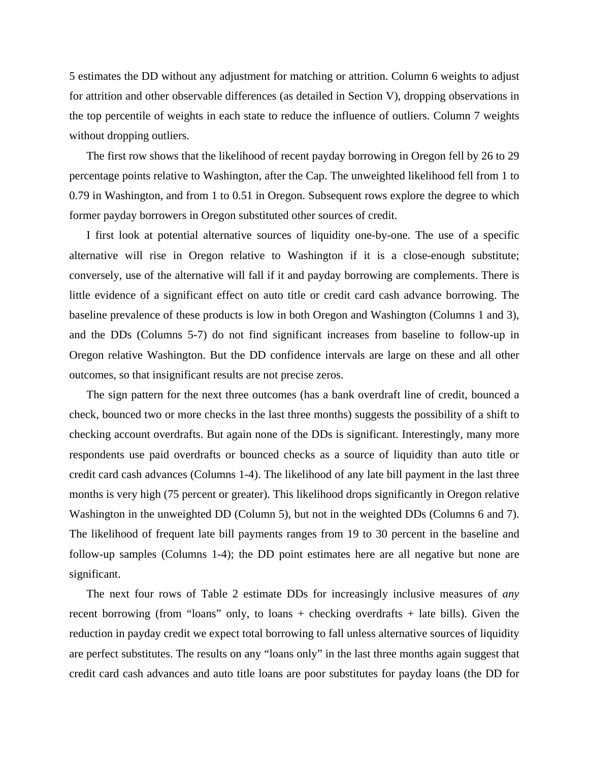5 estimates the DD without any adjustment for matching or attrition. Column 6 weights to adjust for attrition and other observable differences (as detailed in Section V), dropping observations in the top percentile of weights in each state to reduce the influence of outliers. Column 7 weights without dropping outliers.

The first row shows that the likelihood of recent payday borrowing in Oregon fell by 26 to 29 percentage points relative to Washington, after the Cap. The unweighted likelihood fell from 1 to 0.79 in Washington, and from 1 to 0.51 in Oregon. Subsequent rows explore the degree to which former payday borrowers in Oregon substituted other sources of credit.

I first look at potential alternative sources of liquidity one-by-one. The use of a specific alternative will rise in Oregon relative to Washington if it is a close-enough substitute; conversely, use of the alternative will fall if it and payday borrowing are complements. There is little evidence of a significant effect on auto title or credit card cash advance borrowing. The baseline prevalence of these products is low in both Oregon and Washington (Columns 1 and 3), and the DDs (Columns 5-7) do not find significant increases from baseline to follow-up in Oregon relative Washington. But the DD confidence intervals are large on these and all other outcomes, so that insignificant results are not precise zeros.

The sign pattern for the next three outcomes (has a bank overdraft line of credit, bounced a check, bounced two or more checks in the last three months) suggests the possibility of a shift to checking account overdrafts. But again none of the DDs is significant. Interestingly, many more respondents use paid overdrafts or bounced checks as a source of liquidity than auto title or credit card cash advances (Columns 1-4). The likelihood of any late bill payment in the last three months is very high (75 percent or greater). This likelihood drops significantly in Oregon relative Washington in the unweighted DD (Column 5), but not in the weighted DDs (Columns 6 and 7). The likelihood of frequent late bill payments ranges from 19 to 30 percent in the baseline and follow-up samples (Columns 1-4); the DD point estimates here are all negative but none are significant.

The next four rows of Table 2 estimate DDs for increasingly inclusive measures of *any* recent borrowing (from "loans" only, to loans + checking overdrafts + late bills). Given the reduction in payday credit we expect total borrowing to fall unless alternative sources of liquidity are perfect substitutes. The results on any "loans only" in the last three months again suggest that credit card cash advances and auto title loans are poor substitutes for payday loans (the DD for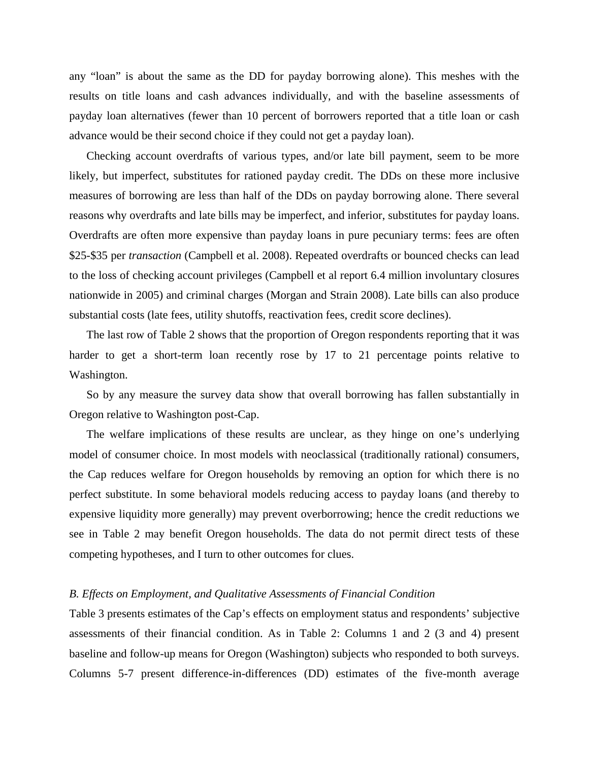any "loan" is about the same as the DD for payday borrowing alone). This meshes with the results on title loans and cash advances individually, and with the baseline assessments of payday loan alternatives (fewer than 10 percent of borrowers reported that a title loan or cash advance would be their second choice if they could not get a payday loan).

Checking account overdrafts of various types, and/or late bill payment, seem to be more likely, but imperfect, substitutes for rationed payday credit. The DDs on these more inclusive measures of borrowing are less than half of the DDs on payday borrowing alone. There several reasons why overdrafts and late bills may be imperfect, and inferior, substitutes for payday loans. Overdrafts are often more expensive than payday loans in pure pecuniary terms: fees are often \$25-\$35 per *transaction* (Campbell et al. 2008). Repeated overdrafts or bounced checks can lead to the loss of checking account privileges (Campbell et al report 6.4 million involuntary closures nationwide in 2005) and criminal charges (Morgan and Strain 2008). Late bills can also produce substantial costs (late fees, utility shutoffs, reactivation fees, credit score declines).

The last row of Table 2 shows that the proportion of Oregon respondents reporting that it was harder to get a short-term loan recently rose by 17 to 21 percentage points relative to Washington.

So by any measure the survey data show that overall borrowing has fallen substantially in Oregon relative to Washington post-Cap.

The welfare implications of these results are unclear, as they hinge on one's underlying model of consumer choice. In most models with neoclassical (traditionally rational) consumers, the Cap reduces welfare for Oregon households by removing an option for which there is no perfect substitute. In some behavioral models reducing access to payday loans (and thereby to expensive liquidity more generally) may prevent overborrowing; hence the credit reductions we see in Table 2 may benefit Oregon households. The data do not permit direct tests of these competing hypotheses, and I turn to other outcomes for clues.

#### *B. Effects on Employment, and Qualitative Assessments of Financial Condition*

Table 3 presents estimates of the Cap's effects on employment status and respondents' subjective assessments of their financial condition. As in Table 2: Columns 1 and 2 (3 and 4) present baseline and follow-up means for Oregon (Washington) subjects who responded to both surveys. Columns 5-7 present difference-in-differences (DD) estimates of the five-month average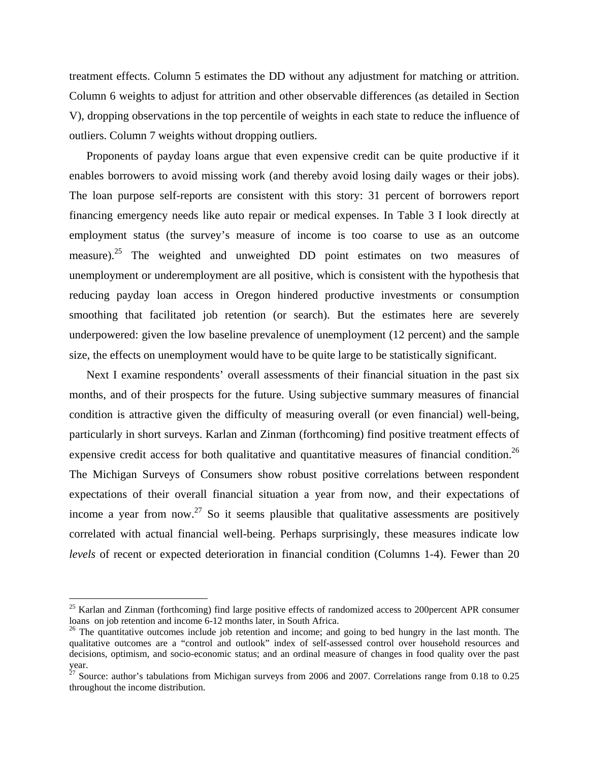treatment effects. Column 5 estimates the DD without any adjustment for matching or attrition. Column 6 weights to adjust for attrition and other observable differences (as detailed in Section V), dropping observations in the top percentile of weights in each state to reduce the influence of outliers. Column 7 weights without dropping outliers.

Proponents of payday loans argue that even expensive credit can be quite productive if it enables borrowers to avoid missing work (and thereby avoid losing daily wages or their jobs). The loan purpose self-reports are consistent with this story: 31 percent of borrowers report financing emergency needs like auto repair or medical expenses. In Table 3 I look directly at employment status (the survey's measure of income is too coarse to use as an outcome measure).<sup>25</sup> The weighted and unweighted DD point estimates on two measures of unemployment or underemployment are all positive, which is consistent with the hypothesis that reducing payday loan access in Oregon hindered productive investments or consumption smoothing that facilitated job retention (or search). But the estimates here are severely underpowered: given the low baseline prevalence of unemployment (12 percent) and the sample size, the effects on unemployment would have to be quite large to be statistically significant.

Next I examine respondents' overall assessments of their financial situation in the past six months, and of their prospects for the future. Using subjective summary measures of financial condition is attractive given the difficulty of measuring overall (or even financial) well-being, particularly in short surveys. Karlan and Zinman (forthcoming) find positive treatment effects of expensive credit access for both qualitative and quantitative measures of financial condition.<sup>26</sup> The Michigan Surveys of Consumers show robust positive correlations between respondent expectations of their overall financial situation a year from now, and their expectations of income a year from now.<sup>27</sup> So it seems plausible that qualitative assessments are positively correlated with actual financial well-being. Perhaps surprisingly, these measures indicate low *levels* of recent or expected deterioration in financial condition (Columns 1-4). Fewer than 20

1

<sup>&</sup>lt;sup>25</sup> Karlan and Zinman (forthcoming) find large positive effects of randomized access to 200percent APR consumer loans on job retention and income 6-12 months later, in South Africa.

<sup>&</sup>lt;sup>26</sup> The quantitative outcomes include job retention and income; and going to bed hungry in the last month. The qualitative outcomes are a "control and outlook" index of self-assessed control over household resources and decisions, optimism, and socio-economic status; and an ordinal measure of changes in food quality over the past year.

 $^{27}$  Source: author's tabulations from Michigan surveys from 2006 and 2007. Correlations range from 0.18 to 0.25 throughout the income distribution.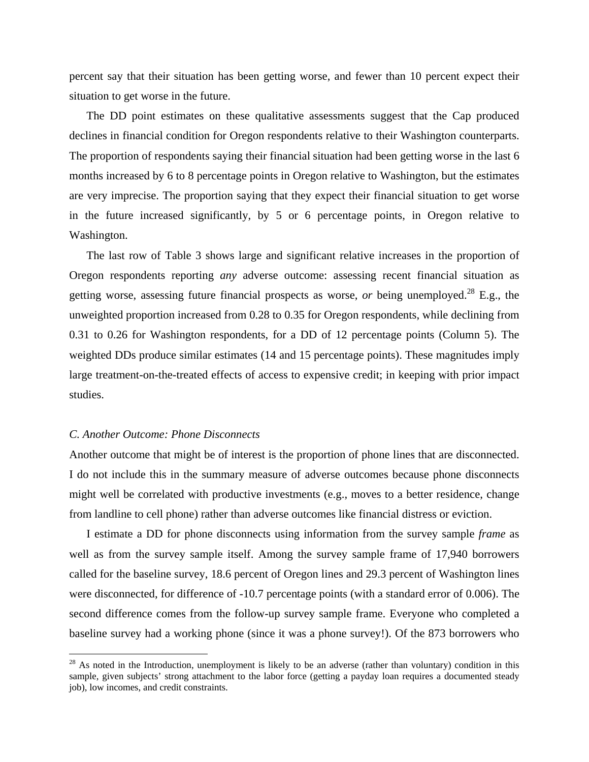percent say that their situation has been getting worse, and fewer than 10 percent expect their situation to get worse in the future.

The DD point estimates on these qualitative assessments suggest that the Cap produced declines in financial condition for Oregon respondents relative to their Washington counterparts. The proportion of respondents saying their financial situation had been getting worse in the last 6 months increased by 6 to 8 percentage points in Oregon relative to Washington, but the estimates are very imprecise. The proportion saying that they expect their financial situation to get worse in the future increased significantly, by 5 or 6 percentage points, in Oregon relative to Washington.

The last row of Table 3 shows large and significant relative increases in the proportion of Oregon respondents reporting *any* adverse outcome: assessing recent financial situation as getting worse, assessing future financial prospects as worse, *or* being unemployed.<sup>28</sup> E.g., the unweighted proportion increased from 0.28 to 0.35 for Oregon respondents, while declining from 0.31 to 0.26 for Washington respondents, for a DD of 12 percentage points (Column 5). The weighted DDs produce similar estimates (14 and 15 percentage points). These magnitudes imply large treatment-on-the-treated effects of access to expensive credit; in keeping with prior impact studies.

#### *C. Another Outcome: Phone Disconnects*

1

Another outcome that might be of interest is the proportion of phone lines that are disconnected. I do not include this in the summary measure of adverse outcomes because phone disconnects might well be correlated with productive investments (e.g., moves to a better residence, change from landline to cell phone) rather than adverse outcomes like financial distress or eviction.

I estimate a DD for phone disconnects using information from the survey sample *frame* as well as from the survey sample itself. Among the survey sample frame of 17,940 borrowers called for the baseline survey, 18.6 percent of Oregon lines and 29.3 percent of Washington lines were disconnected, for difference of -10.7 percentage points (with a standard error of 0.006). The second difference comes from the follow-up survey sample frame. Everyone who completed a baseline survey had a working phone (since it was a phone survey!). Of the 873 borrowers who

 $28$  As noted in the Introduction, unemployment is likely to be an adverse (rather than voluntary) condition in this sample, given subjects' strong attachment to the labor force (getting a payday loan requires a documented steady job), low incomes, and credit constraints.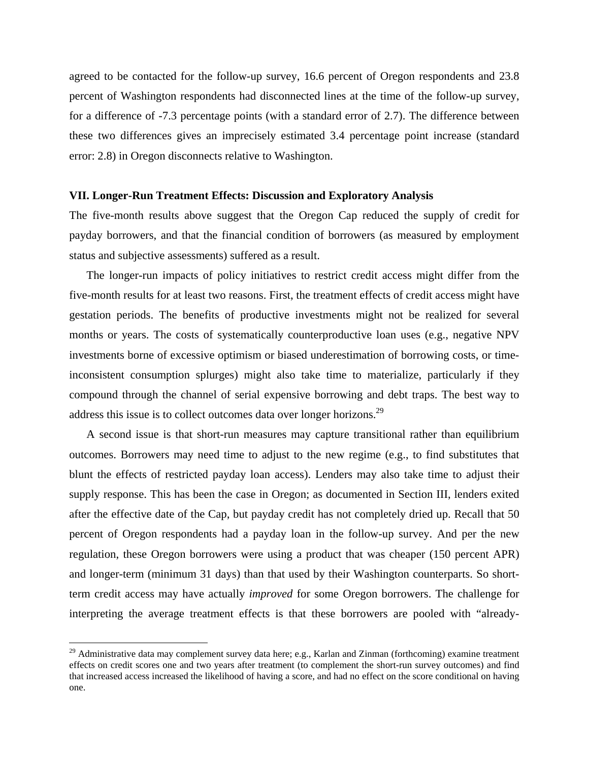agreed to be contacted for the follow-up survey, 16.6 percent of Oregon respondents and 23.8 percent of Washington respondents had disconnected lines at the time of the follow-up survey, for a difference of -7.3 percentage points (with a standard error of 2.7). The difference between these two differences gives an imprecisely estimated 3.4 percentage point increase (standard error: 2.8) in Oregon disconnects relative to Washington.

#### **VII. Longer-Run Treatment Effects: Discussion and Exploratory Analysis**

The five-month results above suggest that the Oregon Cap reduced the supply of credit for payday borrowers, and that the financial condition of borrowers (as measured by employment status and subjective assessments) suffered as a result.

The longer-run impacts of policy initiatives to restrict credit access might differ from the five-month results for at least two reasons. First, the treatment effects of credit access might have gestation periods. The benefits of productive investments might not be realized for several months or years. The costs of systematically counterproductive loan uses (e.g., negative NPV investments borne of excessive optimism or biased underestimation of borrowing costs, or timeinconsistent consumption splurges) might also take time to materialize, particularly if they compound through the channel of serial expensive borrowing and debt traps. The best way to address this issue is to collect outcomes data over longer horizons.<sup>29</sup>

A second issue is that short-run measures may capture transitional rather than equilibrium outcomes. Borrowers may need time to adjust to the new regime (e.g., to find substitutes that blunt the effects of restricted payday loan access). Lenders may also take time to adjust their supply response. This has been the case in Oregon; as documented in Section III, lenders exited after the effective date of the Cap, but payday credit has not completely dried up. Recall that 50 percent of Oregon respondents had a payday loan in the follow-up survey. And per the new regulation, these Oregon borrowers were using a product that was cheaper (150 percent APR) and longer-term (minimum 31 days) than that used by their Washington counterparts. So shortterm credit access may have actually *improved* for some Oregon borrowers. The challenge for interpreting the average treatment effects is that these borrowers are pooled with "already-

<sup>&</sup>lt;sup>29</sup> Administrative data may complement survey data here; e.g., Karlan and Zinman (forthcoming) examine treatment effects on credit scores one and two years after treatment (to complement the short-run survey outcomes) and find that increased access increased the likelihood of having a score, and had no effect on the score conditional on having one.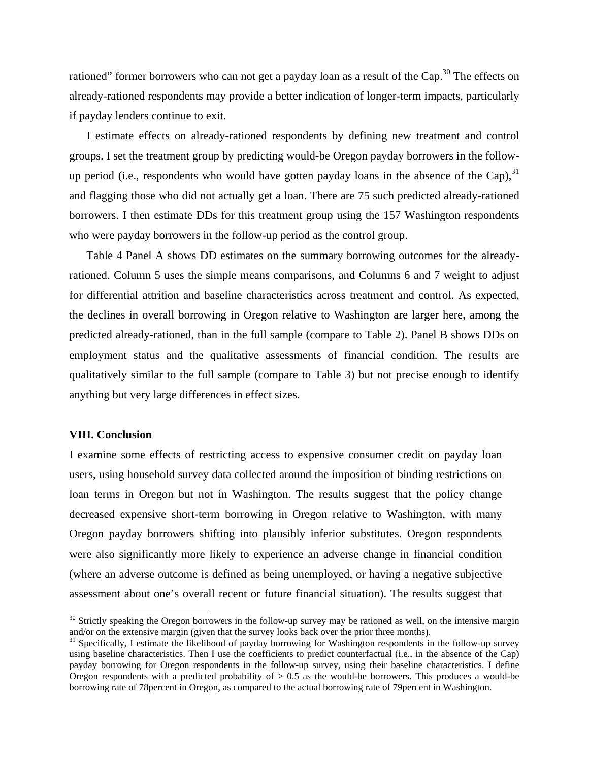rationed" former borrowers who can not get a payday loan as a result of the Cap.<sup>30</sup> The effects on already-rationed respondents may provide a better indication of longer-term impacts, particularly if payday lenders continue to exit.

I estimate effects on already-rationed respondents by defining new treatment and control groups. I set the treatment group by predicting would-be Oregon payday borrowers in the followup period (i.e., respondents who would have gotten payday loans in the absence of the Cap), $31$ and flagging those who did not actually get a loan. There are 75 such predicted already-rationed borrowers. I then estimate DDs for this treatment group using the 157 Washington respondents who were payday borrowers in the follow-up period as the control group.

Table 4 Panel A shows DD estimates on the summary borrowing outcomes for the alreadyrationed. Column 5 uses the simple means comparisons, and Columns 6 and 7 weight to adjust for differential attrition and baseline characteristics across treatment and control. As expected, the declines in overall borrowing in Oregon relative to Washington are larger here, among the predicted already-rationed, than in the full sample (compare to Table 2). Panel B shows DDs on employment status and the qualitative assessments of financial condition. The results are qualitatively similar to the full sample (compare to Table 3) but not precise enough to identify anything but very large differences in effect sizes.

#### **VIII. Conclusion**

<u>.</u>

I examine some effects of restricting access to expensive consumer credit on payday loan users, using household survey data collected around the imposition of binding restrictions on loan terms in Oregon but not in Washington. The results suggest that the policy change decreased expensive short-term borrowing in Oregon relative to Washington, with many Oregon payday borrowers shifting into plausibly inferior substitutes. Oregon respondents were also significantly more likely to experience an adverse change in financial condition (where an adverse outcome is defined as being unemployed, or having a negative subjective assessment about one's overall recent or future financial situation). The results suggest that

 $30$  Strictly speaking the Oregon borrowers in the follow-up survey may be rationed as well, on the intensive margin and/or on the extensive margin (given that the survey looks back over the prior three months).<br><sup>31</sup> Specifically, I estimate the likelihood of payday borrowing for Washington respondents in the follow-up survey

using baseline characteristics. Then I use the coefficients to predict counterfactual (i.e., in the absence of the Cap) payday borrowing for Oregon respondents in the follow-up survey, using their baseline characteristics. I define Oregon respondents with a predicted probability of  $> 0.5$  as the would-be borrowers. This produces a would-be borrowing rate of 78percent in Oregon, as compared to the actual borrowing rate of 79percent in Washington.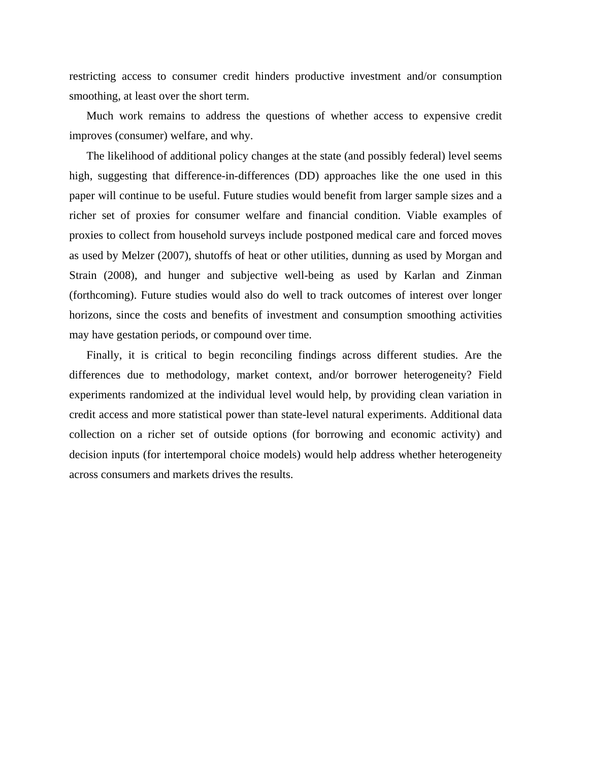restricting access to consumer credit hinders productive investment and/or consumption smoothing, at least over the short term.

Much work remains to address the questions of whether access to expensive credit improves (consumer) welfare, and why.

The likelihood of additional policy changes at the state (and possibly federal) level seems high, suggesting that difference-in-differences (DD) approaches like the one used in this paper will continue to be useful. Future studies would benefit from larger sample sizes and a richer set of proxies for consumer welfare and financial condition. Viable examples of proxies to collect from household surveys include postponed medical care and forced moves as used by Melzer (2007), shutoffs of heat or other utilities, dunning as used by Morgan and Strain (2008), and hunger and subjective well-being as used by Karlan and Zinman (forthcoming). Future studies would also do well to track outcomes of interest over longer horizons, since the costs and benefits of investment and consumption smoothing activities may have gestation periods, or compound over time.

Finally, it is critical to begin reconciling findings across different studies. Are the differences due to methodology, market context, and/or borrower heterogeneity? Field experiments randomized at the individual level would help, by providing clean variation in credit access and more statistical power than state-level natural experiments. Additional data collection on a richer set of outside options (for borrowing and economic activity) and decision inputs (for intertemporal choice models) would help address whether heterogeneity across consumers and markets drives the results.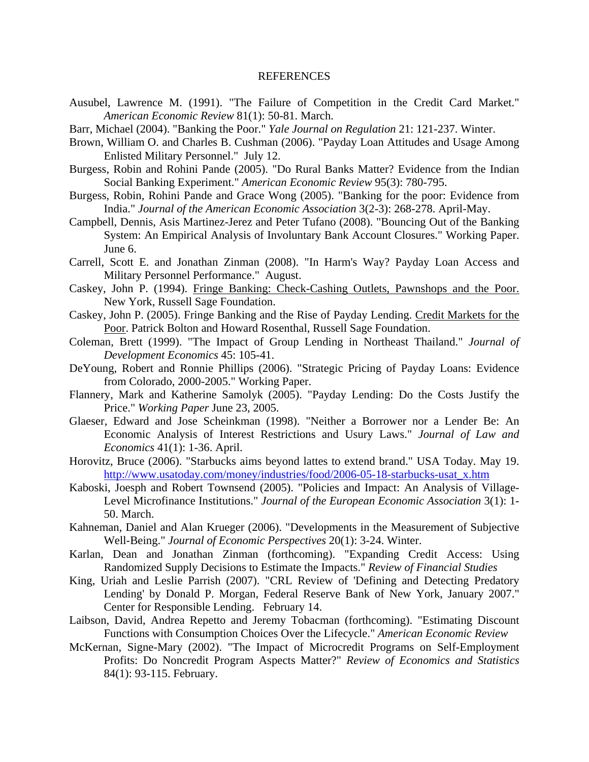#### REFERENCES

- Ausubel, Lawrence M. (1991). "The Failure of Competition in the Credit Card Market." *American Economic Review* 81(1): 50-81. March.
- Barr, Michael (2004). "Banking the Poor." *Yale Journal on Regulation* 21: 121-237. Winter.
- Brown, William O. and Charles B. Cushman (2006). "Payday Loan Attitudes and Usage Among Enlisted Military Personnel." July 12.
- Burgess, Robin and Rohini Pande (2005). "Do Rural Banks Matter? Evidence from the Indian Social Banking Experiment." *American Economic Review* 95(3): 780-795.
- Burgess, Robin, Rohini Pande and Grace Wong (2005). "Banking for the poor: Evidence from India." *Journal of the American Economic Association* 3(2-3): 268-278. April-May.
- Campbell, Dennis, Asis Martinez-Jerez and Peter Tufano (2008). "Bouncing Out of the Banking System: An Empirical Analysis of Involuntary Bank Account Closures." Working Paper. June 6.
- Carrell, Scott E. and Jonathan Zinman (2008). "In Harm's Way? Payday Loan Access and Military Personnel Performance." August.
- Caskey, John P. (1994). Fringe Banking: Check-Cashing Outlets, Pawnshops and the Poor. New York, Russell Sage Foundation.
- Caskey, John P. (2005). Fringe Banking and the Rise of Payday Lending. Credit Markets for the Poor. Patrick Bolton and Howard Rosenthal, Russell Sage Foundation.
- Coleman, Brett (1999). "The Impact of Group Lending in Northeast Thailand." *Journal of Development Economics* 45: 105-41.
- DeYoung, Robert and Ronnie Phillips (2006). "Strategic Pricing of Payday Loans: Evidence from Colorado, 2000-2005." Working Paper.
- Flannery, Mark and Katherine Samolyk (2005). "Payday Lending: Do the Costs Justify the Price." *Working Paper* June 23, 2005.
- Glaeser, Edward and Jose Scheinkman (1998). "Neither a Borrower nor a Lender Be: An Economic Analysis of Interest Restrictions and Usury Laws." *Journal of Law and Economics* 41(1): 1-36. April.
- Horovitz, Bruce (2006). "Starbucks aims beyond lattes to extend brand." USA Today. May 19. http://www.usatoday.com/money/industries/food/2006-05-18-starbucks-usat\_x.htm
- Kaboski, Joesph and Robert Townsend (2005). "Policies and Impact: An Analysis of Village-Level Microfinance Institutions." *Journal of the European Economic Association* 3(1): 1- 50. March.
- Kahneman, Daniel and Alan Krueger (2006). "Developments in the Measurement of Subjective Well-Being." *Journal of Economic Perspectives* 20(1): 3-24. Winter.
- Karlan, Dean and Jonathan Zinman (forthcoming). "Expanding Credit Access: Using Randomized Supply Decisions to Estimate the Impacts." *Review of Financial Studies*
- King, Uriah and Leslie Parrish (2007). "CRL Review of 'Defining and Detecting Predatory Lending' by Donald P. Morgan, Federal Reserve Bank of New York, January 2007." Center for Responsible Lending. February 14.
- Laibson, David, Andrea Repetto and Jeremy Tobacman (forthcoming). "Estimating Discount Functions with Consumption Choices Over the Lifecycle." *American Economic Review*
- McKernan, Signe-Mary (2002). "The Impact of Microcredit Programs on Self-Employment Profits: Do Noncredit Program Aspects Matter?" *Review of Economics and Statistics* 84(1): 93-115. February.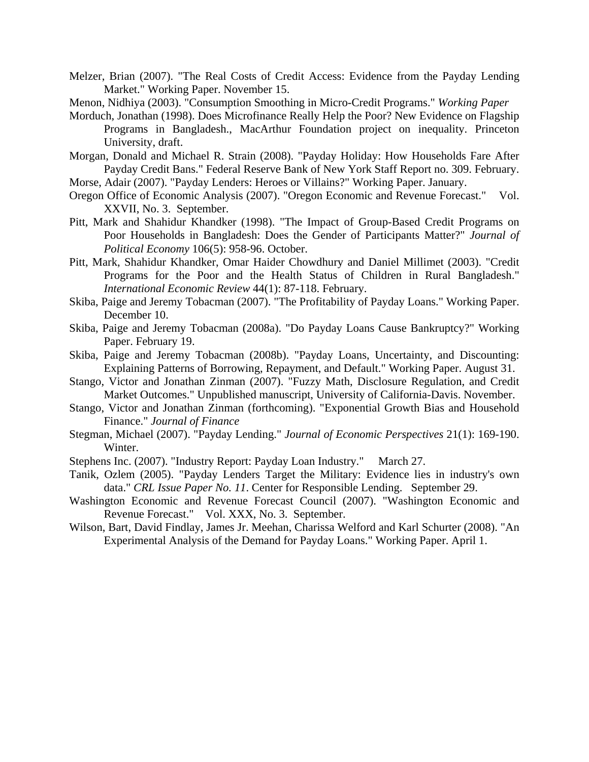- Melzer, Brian (2007). "The Real Costs of Credit Access: Evidence from the Payday Lending Market." Working Paper. November 15.
- Menon, Nidhiya (2003). "Consumption Smoothing in Micro-Credit Programs." *Working Paper*
- Morduch, Jonathan (1998). Does Microfinance Really Help the Poor? New Evidence on Flagship Programs in Bangladesh., MacArthur Foundation project on inequality. Princeton University, draft.
- Morgan, Donald and Michael R. Strain (2008). "Payday Holiday: How Households Fare After Payday Credit Bans." Federal Reserve Bank of New York Staff Report no. 309. February.
- Morse, Adair (2007). "Payday Lenders: Heroes or Villains?" Working Paper. January.
- Oregon Office of Economic Analysis (2007). "Oregon Economic and Revenue Forecast." Vol. XXVII, No. 3. September.
- Pitt, Mark and Shahidur Khandker (1998). "The Impact of Group-Based Credit Programs on Poor Households in Bangladesh: Does the Gender of Participants Matter?" *Journal of Political Economy* 106(5): 958-96. October.
- Pitt, Mark, Shahidur Khandker, Omar Haider Chowdhury and Daniel Millimet (2003). "Credit Programs for the Poor and the Health Status of Children in Rural Bangladesh." *International Economic Review* 44(1): 87-118. February.
- Skiba, Paige and Jeremy Tobacman (2007). "The Profitability of Payday Loans." Working Paper. December 10.
- Skiba, Paige and Jeremy Tobacman (2008a). "Do Payday Loans Cause Bankruptcy?" Working Paper. February 19.
- Skiba, Paige and Jeremy Tobacman (2008b). "Payday Loans, Uncertainty, and Discounting: Explaining Patterns of Borrowing, Repayment, and Default." Working Paper. August 31.
- Stango, Victor and Jonathan Zinman (2007). "Fuzzy Math, Disclosure Regulation, and Credit Market Outcomes." Unpublished manuscript, University of California-Davis. November.
- Stango, Victor and Jonathan Zinman (forthcoming). "Exponential Growth Bias and Household Finance." *Journal of Finance*
- Stegman, Michael (2007). "Payday Lending." *Journal of Economic Perspectives* 21(1): 169-190. Winter.
- Stephens Inc. (2007). "Industry Report: Payday Loan Industry." March 27.
- Tanik, Ozlem (2005). "Payday Lenders Target the Military: Evidence lies in industry's own data." *CRL Issue Paper No. 11*. Center for Responsible Lending. September 29.
- Washington Economic and Revenue Forecast Council (2007). "Washington Economic and Revenue Forecast." Vol. XXX, No. 3. September.
- Wilson, Bart, David Findlay, James Jr. Meehan, Charissa Welford and Karl Schurter (2008). "An Experimental Analysis of the Demand for Payday Loans." Working Paper. April 1.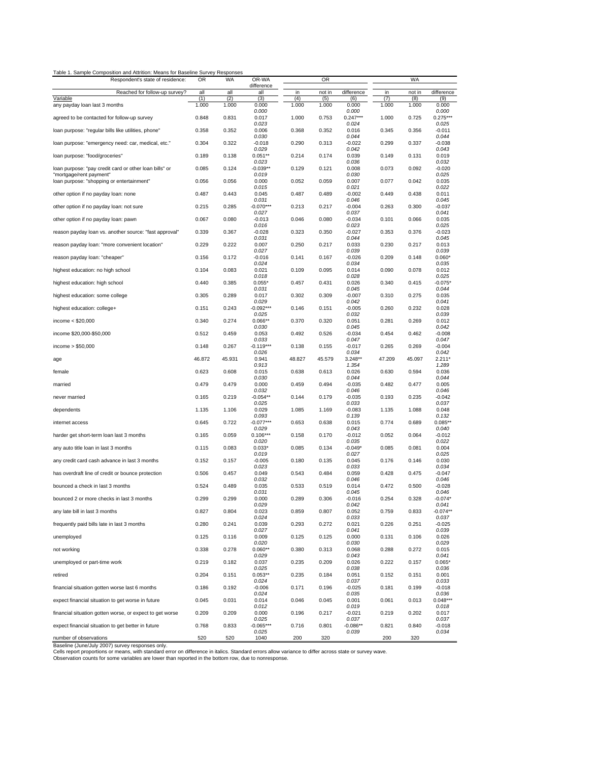| Table 1. Sample Composition and Attrition: Means for Baseline Survey Responses |
|--------------------------------------------------------------------------------|
|--------------------------------------------------------------------------------|

| Respondent's state of residence:                                                  | OR     | WA     | OR-WA                | OR     |        | WA                  |         |        |                     |
|-----------------------------------------------------------------------------------|--------|--------|----------------------|--------|--------|---------------------|---------|--------|---------------------|
| Reached for follow-up survey?                                                     | all    | all    | difference<br>all    | in     | not in | difference          | in      | not in | difference          |
| Variable                                                                          | (1)    | (2)    | (3)                  | (4)    | (5)    | (6)                 | (7)     | (8)    | (9)                 |
| any payday loan last 3 months                                                     | 1.000  | 1.000  | 0.000<br>0.000       | 1.000  | 1.000  | 0.000<br>0.000      | 1.000   | 1.000  | 0.000<br>0.000      |
| agreed to be contacted for follow-up survey                                       | 0.848  | 0.831  | 0.017<br>0.023       | 1.000  | 0.753  | $0.247***$<br>0.024 | 1.000   | 0.725  | $0.275***$<br>0.025 |
| loan purpose: "reqular bills like utilities, phone"                               | 0.358  | 0.352  | 0.006                | 0.368  | 0.352  | 0.016               | 0.345   | 0.356  | -0.011              |
| loan purpose: "emergency need: car, medical, etc."                                | 0.304  | 0.322  | 0.030<br>$-0.018$    | 0.290  | 0.313  | 0.044<br>$-0.022$   | 0.299   | 0.337  | 0.044<br>$-0.038$   |
|                                                                                   |        |        | 0.029                |        |        | 0.042               |         |        | 0.043               |
| loan purpose: "food/groceries"                                                    | 0.189  | 0.138  | $0.051**$<br>0.023   | 0.214  | 0.174  | 0.039<br>0.036      | 0.149   | 0.131  | 0.019<br>0.032      |
| loan purpose: "pay credit card or other loan bills" or<br>"mortgage/rent payment" | 0.085  | 0.124  | $-0.039**$<br>0.019  | 0.129  | 0.121  | 0.008<br>0.030      | 0.073   | 0.092  | $-0.020$<br>0.025   |
| loan purpose: "shopping or entertainment"                                         | 0.056  | 0.056  | 0.000                | 0.052  | 0.059  | 0.007               | 0.077   | 0.042  | 0.035               |
| other option if no payday loan: none                                              | 0.487  | 0.443  | 0.015<br>0.045       | 0.487  | 0.489  | 0.021<br>$-0.002$   | 0.449   | 0.438  | 0.022<br>0.011      |
| other option if no payday loan: not sure                                          | 0.215  | 0.285  | 0.031<br>$-0.070***$ | 0.213  | 0.217  | 0.046<br>$-0.004$   | 0.263   | 0.300  | 0.045<br>-0.037     |
|                                                                                   |        |        | 0.027                |        |        | 0.037               |         |        | 0.041               |
| other option if no payday loan: pawn                                              | 0.067  | 0.080  | $-0.013$<br>0.016    | 0.046  | 0.080  | $-0.034$<br>0.023   | 0.101   | 0.066  | 0.035<br>0.025      |
| reason payday loan vs. another source: "fast approval"                            | 0.339  | 0.367  | $-0.028$<br>0.031    | 0.323  | 0.350  | $-0.027$<br>0.044   | 0.353   | 0.376  | $-0.023$<br>0.045   |
| reason payday loan: "more convenient location"                                    | 0.229  | 0.222  | 0.007                | 0.250  | 0.217  | 0.033               | 0.230   | 0.217  | 0.013               |
| reason payday loan: "cheaper"                                                     | 0.156  | 0.172  | 0.027<br>$-0.016$    | 0.141  | 0.167  | 0.039<br>$-0.026$   | 0.209   | 0.148  | 0.039<br>$0.060*$   |
|                                                                                   |        |        | 0.024                |        | 0.095  | 0.034               |         |        | 0.035<br>0.012      |
| highest education: no high school                                                 | 0.104  | 0.083  | 0.021<br>0.018       | 0.109  |        | 0.014<br>0.028      | 0.090   | 0.078  | 0.025               |
| highest education: high school                                                    | 0.440  | 0.385  | $0.055*$<br>0.031    | 0.457  | 0.431  | 0.026<br>0.045      | 0.340   | 0.415  | $-0.075*$<br>0.044  |
| highest education: some college                                                   | 0.305  | 0.289  | 0.017                | 0.302  | 0.309  | $-0.007$            | 0.310   | 0.275  | 0.035               |
| highest education: college+                                                       | 0.151  | 0.243  | 0.029<br>$-0.092***$ | 0.146  | 0.151  | 0.042<br>$-0.005$   | 0.260   | 0.232  | 0.041<br>0.028      |
| income $<$ \$20,000                                                               | 0.340  | 0.274  | 0.025<br>$0.066**$   | 0.370  | 0.320  | 0.032<br>0.051      | 0.281   | 0.269  | 0.039<br>0.012      |
|                                                                                   |        |        | 0.030                |        |        | 0.045               |         |        | 0.042               |
| income \$20,000-\$50,000                                                          | 0.512  | 0.459  | 0.053<br>0.033       | 0.492  | 0.526  | -0.034<br>0.047     | 0.454   | 0.462  | $-0.008$<br>0.047   |
| income $> $50,000$                                                                | 0.148  | 0.267  | $-0.119***$<br>0.026 | 0.138  | 0.155  | $-0.017$<br>0.034   | 0.265   | 0.269  | $-0.004$<br>0.042   |
| age                                                                               | 46.872 | 45.931 | 0.941                | 48.827 | 45.579 | $3.248**$           | 47.209  | 45.097 | $2.211*$            |
| female                                                                            | 0.623  | 0.608  | 0.913<br>0.015       | 0.638  | 0.613  | 1.354<br>0.026      | 0.630   | 0.594  | 1.289<br>0.036      |
| married                                                                           | 0.479  | 0.479  | 0.030<br>0.000       | 0.459  | 0.494  | 0.044<br>$-0.035$   | 0.482   | 0.477  | 0.044<br>0.005      |
|                                                                                   |        |        | 0.032                |        |        | 0.046               |         |        | 0.046               |
| never married                                                                     | 0.165  | 0.219  | $-0.054**$<br>0.025  | 0.144  | 0.179  | $-0.035$<br>0.033   | 0.193   | 0.235  | -0.042<br>0.037     |
| dependents                                                                        | 1.135  | 1.106  | 0.029<br>0.093       | 1.085  | 1.169  | $-0.083$<br>0.139   | 1.135   | 1.088  | 0.048<br>0.132      |
| internet access                                                                   | 0.645  | 0.722  | $-0.077***$<br>0.029 | 0.653  | 0.638  | 0.015<br>0.043      | 0.774   | 0.689  | $0.085**$<br>0.040  |
| harder get short-term loan last 3 months                                          | 0.165  | 0.059  | $0.106***$           | 0.158  | 0.170  | $-0.012$            | 0.052   | 0.064  | $-0.012$            |
| any auto title loan in last 3 months                                              | 0.115  | 0.083  | 0.020<br>$0.033*$    | 0.085  | 0.134  | 0.035<br>-0.049*    | 0.085   | 0.081  | 0.022<br>0.004      |
| any credit card cash advance in last 3 months                                     |        |        | 0.019                | 0.180  | 0.135  | 0.027               |         |        | 0.025               |
|                                                                                   | 0.152  | 0.157  | $-0.005$<br>0.023    |        |        | 0.045<br>0.033      | 0.176   | 0.146  | 0.030<br>0.034      |
| has overdraft line of credit or bounce protection                                 | 0.506  | 0.457  | 0.049<br>0.032       | 0.543  | 0.484  | 0.059<br>0.046      | 0.428   | 0.475  | $-0.047$<br>0.046   |
| bounced a check in last 3 months                                                  | 0.524  | 0.489  | 0.035<br>0.031       | 0.533  | 0.519  | 0.014<br>0.045      | 0.472   | 0.500  | $-0.028$<br>0.046   |
| bounced 2 or more checks in last 3 months                                         | 0.299  | 0.299  | 0.000                | 0.289  | 0.306  | $-0.016$            | 0.254   | 0.328  | $-0.074*$           |
| any late bill in last 3 months                                                    | 0.827  | 0.804  | 0.029<br>0.023       | 0.859  | 0.807  | 0.042<br>0.052      | 0.759   | 0.833  | 0.041<br>-0.074*    |
| frequently paid bills late in last 3 months                                       | 0.280  | 0.241  | 0.024<br>0.039       | 0.293  | 0.272  | 0.033<br>0.021      | 0.226   | 0.251  | 0.037<br>$-0.025$   |
|                                                                                   |        |        | 0.027                |        |        | 0.041               |         |        | 0.039               |
| unemployed                                                                        | 0.125  | 0.116  | 0.009<br>0.020       | 0.125  | 0.125  | 0.000<br>0.030      | 0.131   | 0.106  | 0.026<br>0.029      |
| not working                                                                       | 0.338  | 0.278  | $0.060**$<br>0.029   | 0.380  | 0.313  | 0.068<br>0.043      | 0.288   | 0.272  | 0.015<br>0.041      |
| unemployed or part-time work                                                      | 0.219  | 0.182  | 0.037                | 0.235  | 0.209  | 0.026               | 0.222   | 0.157  | $0.065*$            |
| retired                                                                           | 0.204  | 0.151  | 0.025<br>$0.053**$   | 0.235  | 0.184  | 0.038<br>0.051      | 0.152   | 0.151  | 0.036<br>0.001      |
| financial situation gotten worse last 6 months                                    | 0.186  | 0.192  | 0.024<br>$-0.006$    | 0.171  | 0.196  | 0.037<br>$-0.025$   | 0.181   | 0.199  | 0.033<br>$-0.018$   |
|                                                                                   |        |        | 0.024                |        |        | 0.035               |         |        | 0.036               |
| expect financial situation to get worse in future                                 | 0.045  | 0.031  | 0.014<br>0.012       | 0.046  | 0.045  | 0.001<br>0.019      | 0.061   | 0.013  | $0.048***$<br>0.018 |
| financial situation gotten worse, or expect to get worse                          | 0.209  | 0.209  | 0.000<br>0.025       | 0.196  | 0.217  | $-0.021$<br>0.037   | 0.219   | 0.202  | 0.017<br>0.037      |
| expect financial situation to get better in future                                | 0.768  | 0.833  | $-0.065***$          | 0.716  | 0.801  | $-0.086**$          | 0.821   | 0.840  | $-0.018$            |
| number of observations                                                            | 520    | 520    | 0.025<br>1040        | 200    | 320    | 0.039               | $200 -$ | 320    | 0.034               |

number of observations expressions and the state of the state of the state of the state of disercepted of the<br>Baseline (June/July 2007) survey responses only. The state of the state of the state of state of state or survey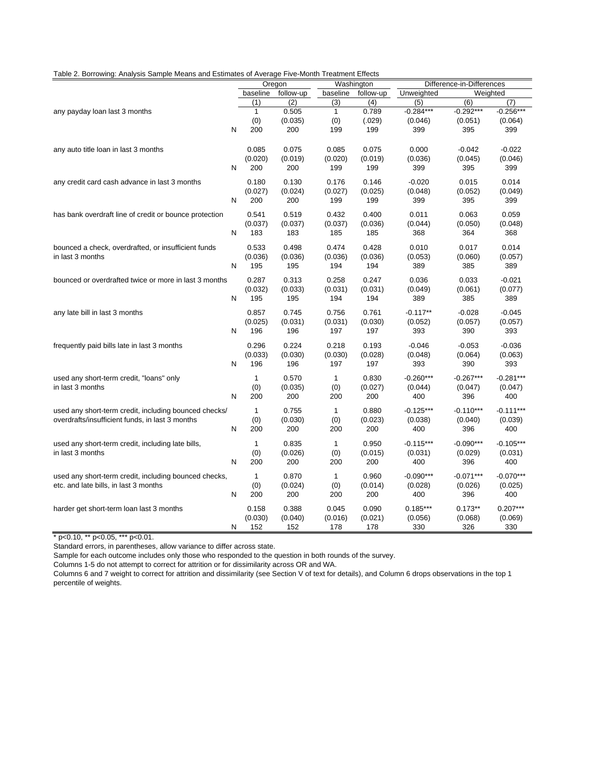Table 2. Borrowing: Analysis Sample Means and Estimates of Average Five-Month Treatment Effects

|                                                        |   | Oregon                |         | Washington            |         | Difference-in-Differences |             |             |  |
|--------------------------------------------------------|---|-----------------------|---------|-----------------------|---------|---------------------------|-------------|-------------|--|
|                                                        |   | follow-up<br>baseline |         | baseline<br>follow-up |         | Unweighted                |             | Weighted    |  |
|                                                        |   | (1)                   | (2)     | (3)                   | (4)     | (5)                       | (6)         | (7)         |  |
| any payday loan last 3 months                          |   | $\mathbf{1}$          | 0.505   | $\mathbf{1}$          | 0.789   | $-0.284***$               | $-0.292***$ | $-0.256***$ |  |
|                                                        |   | (0)                   | (0.035) | (0)                   | (.029)  | (0.046)                   | (0.051)     | (0.064)     |  |
|                                                        | N | 200                   | 200     | 199                   | 199     | 399                       | 395         | 399         |  |
|                                                        |   |                       |         |                       |         |                           |             |             |  |
| any auto title loan in last 3 months                   |   | 0.085                 | 0.075   | 0.085                 | 0.075   | 0.000                     | $-0.042$    | $-0.022$    |  |
|                                                        |   | (0.020)               | (0.019) | (0.020)               | (0.019) | (0.036)                   | (0.045)     | (0.046)     |  |
|                                                        | N | 200                   | 200     | 199                   | 199     | 399                       | 395         | 399         |  |
| any credit card cash advance in last 3 months          |   | 0.180                 | 0.130   | 0.176                 | 0.146   | $-0.020$                  | 0.015       | 0.014       |  |
|                                                        |   | (0.027)               | (0.024) | (0.027)               | (0.025) | (0.048)                   | (0.052)     | (0.049)     |  |
|                                                        | Ν | 200                   | 200     | 199                   | 199     | 399                       | 395         | 399         |  |
| has bank overdraft line of credit or bounce protection |   | 0.541                 | 0.519   | 0.432                 | 0.400   | 0.011                     | 0.063       | 0.059       |  |
|                                                        |   | (0.037)               | (0.037) | (0.037)               | (0.036) | (0.044)                   | (0.050)     | (0.048)     |  |
|                                                        | N | 183                   | 183     | 185                   | 185     | 368                       | 364         | 368         |  |
| bounced a check, overdrafted, or insufficient funds    |   | 0.533                 | 0.498   | 0.474                 | 0.428   | 0.010                     | 0.017       | 0.014       |  |
| in last 3 months                                       |   | (0.036)               | (0.036) | (0.036)               | (0.036) | (0.053)                   | (0.060)     | (0.057)     |  |
|                                                        | N | 195                   | 195     | 194                   | 194     | 389                       | 385         | 389         |  |
| bounced or overdrafted twice or more in last 3 months  |   | 0.287                 | 0.313   | 0.258                 | 0.247   | 0.036                     | 0.033       | $-0.021$    |  |
|                                                        |   | (0.032)               | (0.033) | (0.031)               | (0.031) | (0.049)                   | (0.061)     | (0.077)     |  |
|                                                        | N | 195                   | 195     | 194                   | 194     | 389                       | 385         | 389         |  |
| any late bill in last 3 months                         |   | 0.857                 | 0.745   | 0.756                 | 0.761   | $-0.117**$                | $-0.028$    | $-0.045$    |  |
|                                                        |   | (0.025)               | (0.031) | (0.031)               | (0.030) | (0.052)                   | (0.057)     | (0.057)     |  |
|                                                        | N | 196                   | 196     | 197                   | 197     | 393                       | 390         | 393         |  |
| frequently paid bills late in last 3 months            |   | 0.296                 | 0.224   | 0.218                 | 0.193   | $-0.046$                  | $-0.053$    | $-0.036$    |  |
|                                                        |   | (0.033)               | (0.030) | (0.030)               | (0.028) | (0.048)                   | (0.064)     | (0.063)     |  |
|                                                        | N | 196                   | 196     | 197                   | 197     | 393                       | 390         | 393         |  |
| used any short-term credit, "loans" only               |   | $\mathbf{1}$          | 0.570   | 1                     | 0.830   | $-0.260***$               | $-0.267***$ | $-0.281***$ |  |
| in last 3 months                                       |   | (0)                   | (0.035) | (0)                   | (0.027) | (0.044)                   | (0.047)     | (0.047)     |  |
|                                                        | N | 200                   | 200     | 200                   | 200     | 400                       | 396         | 400         |  |
| used any short-term credit, including bounced checks/  |   | $\mathbf{1}$          | 0.755   | $\mathbf{1}$          | 0.880   | $-0.125***$               | $-0.110***$ | $-0.111***$ |  |
| overdrafts/insufficient funds, in last 3 months        |   | (0)                   | (0.030) | (0)                   | (0.023) | (0.038)                   | (0.040)     | (0.039)     |  |
|                                                        | N | 200                   | 200     | 200                   | 200     | 400                       | 396         | 400         |  |
| used any short-term credit, including late bills,      |   | $\mathbf{1}$          | 0.835   | 1                     | 0.950   | $-0.115***$               | $-0.090***$ | $-0.105***$ |  |
| in last 3 months                                       |   | (0)                   | (0.026) | (0)                   | (0.015) | (0.031)                   | (0.029)     | (0.031)     |  |
|                                                        | N | 200                   | 200     | 200                   | 200     | 400                       | 396         | 400         |  |
| used any short-term credit, including bounced checks,  |   | $\mathbf{1}$          | 0.870   | 1                     | 0.960   | $-0.090***$               | $-0.071***$ | $-0.070***$ |  |
| etc. and late bills, in last 3 months                  |   | (0)                   | (0.024) | (0)                   | (0.014) | (0.028)                   | (0.026)     | (0.025)     |  |
|                                                        | N | 200                   | 200     | 200                   | 200     | 400                       | 396         | 400         |  |
| harder get short-term loan last 3 months               |   | 0.158                 | 0.388   | 0.045                 | 0.090   | $0.185***$                | $0.173**$   | $0.207***$  |  |
|                                                        |   | (0.030)               | (0.040) | (0.016)               | (0.021) | (0.056)                   | (0.068)     | (0.069)     |  |
|                                                        | N | 152                   | 152     | 178                   | 178     | 330                       | 326         | 330         |  |

 $*$  p<0.10, \*\* p<0.05, \*\*\* p<0.01.

Standard errors, in parentheses, allow variance to differ across state.

Sample for each outcome includes only those who responded to the question in both rounds of the survey.

Columns 1-5 do not attempt to correct for attrition or for dissimilarity across OR and WA.

Columns 6 and 7 weight to correct for attrition and dissimilarity (see Section V of text for details), and Column 6 drops observations in the top 1 percentile of weights.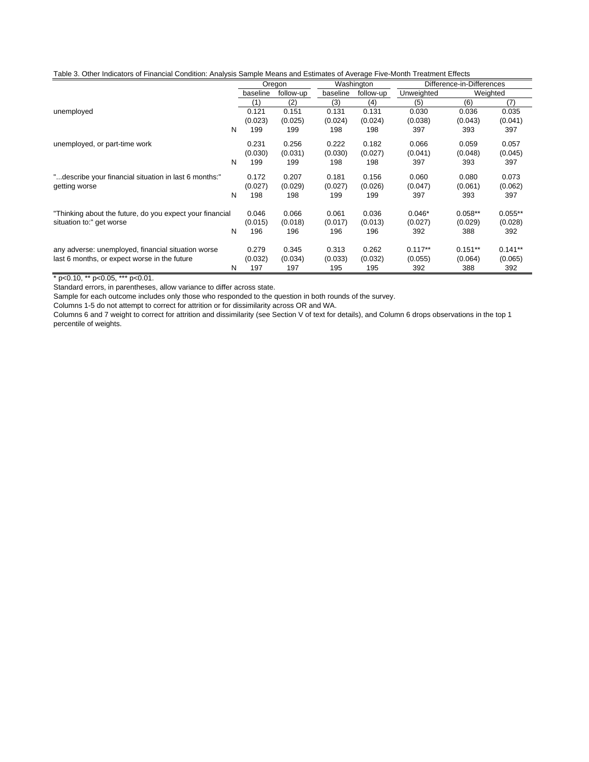Table 3. Other Indicators of Financial Condition: Analysis Sample Means and Estimates of Average Five-Month Treatment Effects

|                                                          |                       | Oregon  |          | Washington | Difference-in-Differences |           |           |
|----------------------------------------------------------|-----------------------|---------|----------|------------|---------------------------|-----------|-----------|
|                                                          | baseline<br>follow-up |         | baseline | follow-up  | Unweighted                | Weighted  |           |
|                                                          |                       | (2)     | (3)      | (4)        | (5)                       | (6)       | (7)       |
| unemployed                                               | 0.121                 | 0.151   | 0.131    | 0.131      | 0.030                     | 0.036     | 0.035     |
|                                                          | (0.023)               | (0.025) | (0.024)  | (0.024)    | (0.038)                   | (0.043)   | (0.041)   |
| N                                                        | 199                   | 199     | 198      | 198        | 397                       | 393       | 397       |
| unemployed, or part-time work                            | 0.231                 | 0.256   | 0.222    | 0.182      | 0.066                     | 0.059     | 0.057     |
|                                                          | (0.030)               | (0.031) | (0.030)  | (0.027)    | (0.041)                   | (0.048)   | (0.045)   |
| N                                                        | 199                   | 199     | 198      | 198        | 397                       | 393       | 397       |
| " describe your financial situation in last 6 months:"   | 0.172                 | 0.207   | 0.181    | 0.156      | 0.060                     | 0.080     | 0.073     |
| getting worse                                            | (0.027)               | (0.029) | (0.027)  | (0.026)    | (0.047)                   | (0.061)   | (0.062)   |
| N                                                        | 198                   | 198     | 199      | 199        | 397                       | 393       | 397       |
| "Thinking about the future, do you expect your financial |                       | 0.066   | 0.061    | 0.036      | $0.046*$                  | $0.058**$ | $0.055**$ |
| situation to:" get worse                                 | (0.015)               | (0.018) | (0.017)  | (0.013)    | (0.027)                   | (0.029)   | (0.028)   |
| N                                                        | 196                   | 196     | 196      | 196        | 392                       | 388       | 392       |
| any adverse: unemployed, financial situation worse       | 0.279                 | 0.345   | 0.313    | 0.262      | $0.117**$                 | $0.151**$ | $0.141**$ |
| last 6 months, or expect worse in the future             | (0.032)               | (0.034) | (0.033)  | (0.032)    | (0.055)                   | (0.064)   | (0.065)   |
| N                                                        | 197                   | 197     | 195      | 195        | 392                       | 388       | 392       |

\* p<0.10, \*\* p<0.05, \*\*\* p<0.01.

Standard errors, in parentheses, allow variance to differ across state.

Sample for each outcome includes only those who responded to the question in both rounds of the survey.

Columns 1-5 do not attempt to correct for attrition or for dissimilarity across OR and WA.

Columns 6 and 7 weight to correct for attrition and dissimilarity (see Section V of text for details), and Column 6 drops observations in the top 1 percentile of weights.